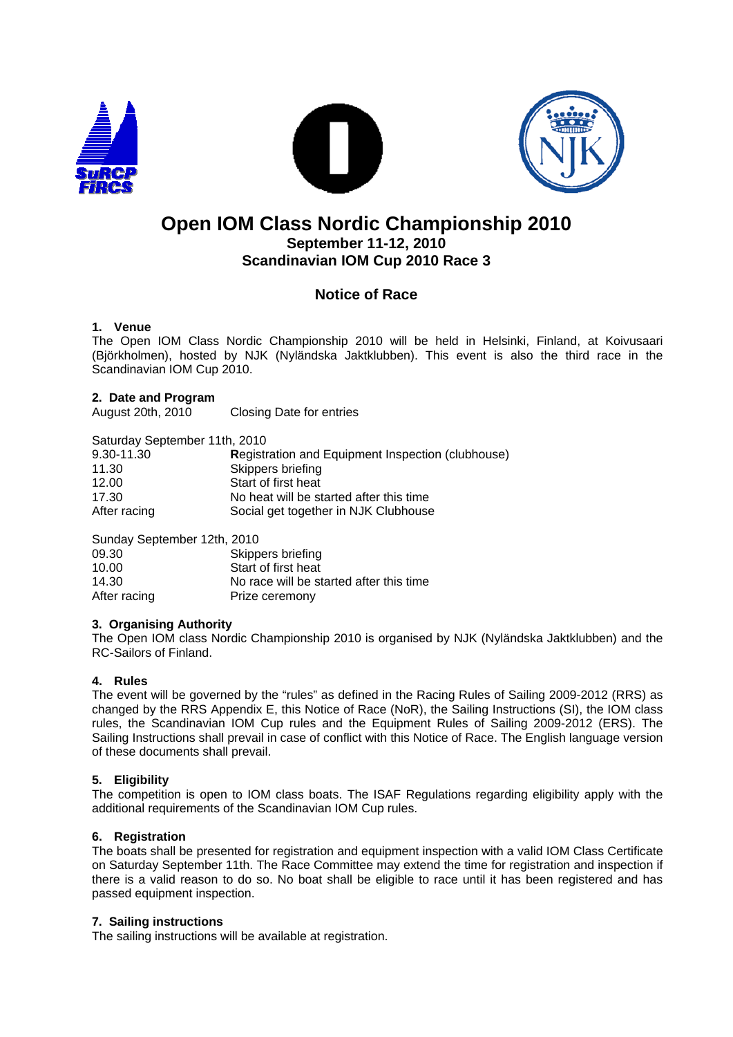





## **Open IOM Class Nordic Championship 2010 September 11-12, 2010 Scandinavian IOM Cup 2010 Race 3**

### **Notice of Race**

#### **1. Venue**

The Open IOM Class Nordic Championship 2010 will be held in Helsinki, Finland, at Koivusaari (Björkholmen), hosted by NJK (Nyländska Jaktklubben). This event is also the third race in the Scandinavian IOM Cup 2010.

# **2. Date and Program**

**Closing Date for entries** 

| Saturday September 11th, 2010 |                                                          |
|-------------------------------|----------------------------------------------------------|
| 9.30-11.30                    | <b>Registration and Equipment Inspection (clubhouse)</b> |
| 11.30                         | Skippers briefing                                        |
| 12.00                         | Start of first heat                                      |
| 17.30                         | No heat will be started after this time                  |
| After racing                  | Social get together in NJK Clubhouse                     |

| Sunday September 12th, 2010 |                                         |
|-----------------------------|-----------------------------------------|
| 09.30                       | Skippers briefing                       |
| 10.00                       | Start of first heat                     |
| 14.30                       | No race will be started after this time |
| After racing                | Prize ceremony                          |

#### **3. Organising Authority**

The Open IOM class Nordic Championship 2010 is organised by NJK (Nyländska Jaktklubben) and the RC-Sailors of Finland.

#### **4. Rules**

The event will be governed by the "rules" as defined in the Racing Rules of Sailing 2009-2012 (RRS) as changed by the RRS Appendix E, this Notice of Race (NoR), the Sailing Instructions (SI), the IOM class rules, the Scandinavian IOM Cup rules and the Equipment Rules of Sailing 2009-2012 (ERS). The Sailing Instructions shall prevail in case of conflict with this Notice of Race. The English language version of these documents shall prevail.

#### **5. Eligibility**

The competition is open to IOM class boats. The ISAF Regulations regarding eligibility apply with the additional requirements of the Scandinavian IOM Cup rules.

#### **6. Registration**

The boats shall be presented for registration and equipment inspection with a valid IOM Class Certificate on Saturday September 11th. The Race Committee may extend the time for registration and inspection if there is a valid reason to do so. No boat shall be eligible to race until it has been registered and has passed equipment inspection.

#### **7. Sailing instructions**

The sailing instructions will be available at registration.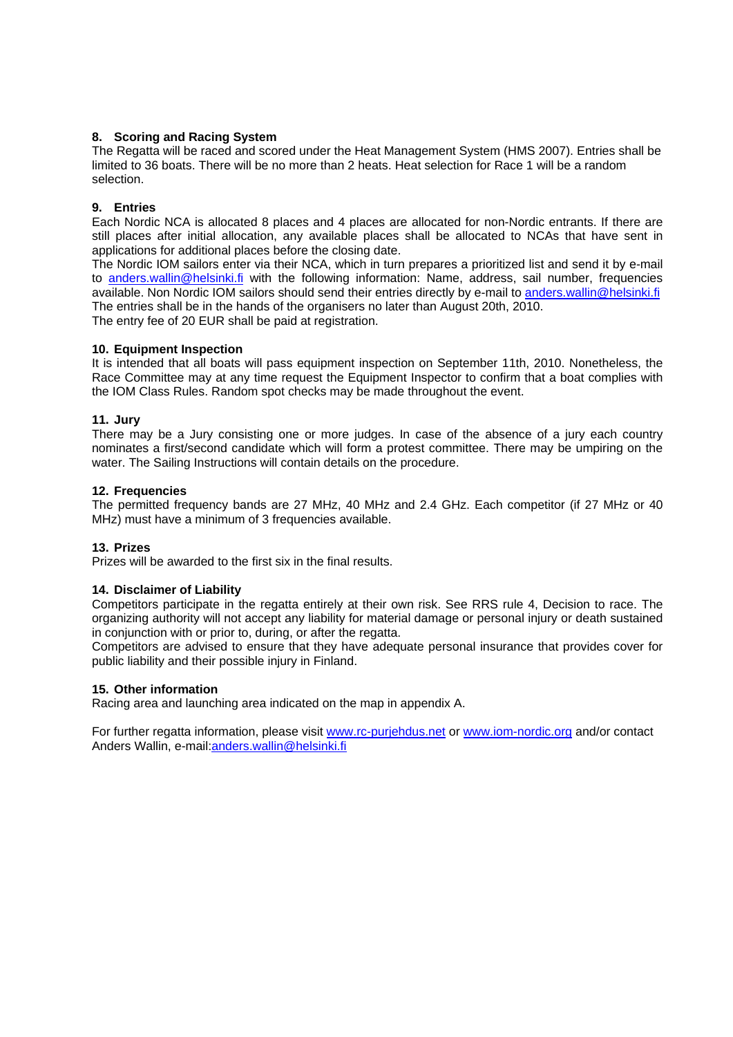#### **8. Scoring and Racing System**

The Regatta will be raced and scored under the Heat Management System (HMS 2007). Entries shall be limited to 36 boats. There will be no more than 2 heats. Heat selection for Race 1 will be a random selection.

#### **9. Entries**

Each Nordic NCA is allocated 8 places and 4 places are allocated for non-Nordic entrants. If there are still places after initial allocation, any available places shall be allocated to NCAs that have sent in applications for additional places before the closing date.

The Nordic IOM sailors enter via their NCA, which in turn prepares a prioritized list and send it by e-mail to anders.wallin@helsinki.fi with the following information: Name, address, sail number, frequencies available. Non Nordic IOM sailors should send their entries directly by e-mail to anders.wallin@helsinki.fi The entries shall be in the hands of the organisers no later than August 20th, 2010. The entry fee of 20 EUR shall be paid at registration.

#### **10. Equipment Inspection**

It is intended that all boats will pass equipment inspection on September 11th, 2010. Nonetheless, the Race Committee may at any time request the Equipment Inspector to confirm that a boat complies with the IOM Class Rules. Random spot checks may be made throughout the event.

#### **11. Jury**

There may be a Jury consisting one or more judges. In case of the absence of a jury each country nominates a first/second candidate which will form a protest committee. There may be umpiring on the water. The Sailing Instructions will contain details on the procedure.

#### **12. Frequencies**

The permitted frequency bands are 27 MHz, 40 MHz and 2.4 GHz. Each competitor (if 27 MHz or 40 MHz) must have a minimum of 3 frequencies available.

#### **13. Prizes**

Prizes will be awarded to the first six in the final results.

#### **14. Disclaimer of Liability**

Competitors participate in the regatta entirely at their own risk. See RRS rule 4, Decision to race. The organizing authority will not accept any liability for material damage or personal injury or death sustained in conjunction with or prior to, during, or after the regatta.

Competitors are advised to ensure that they have adequate personal insurance that provides cover for public liability and their possible injury in Finland.

#### **15. Other information**

Racing area and launching area indicated on the map in appendix A.

For further regatta information, please visit www.rc-purjehdus.net or www.iom-nordic.org and/or contact Anders Wallin, e-mail:anders.wallin@helsinki.fi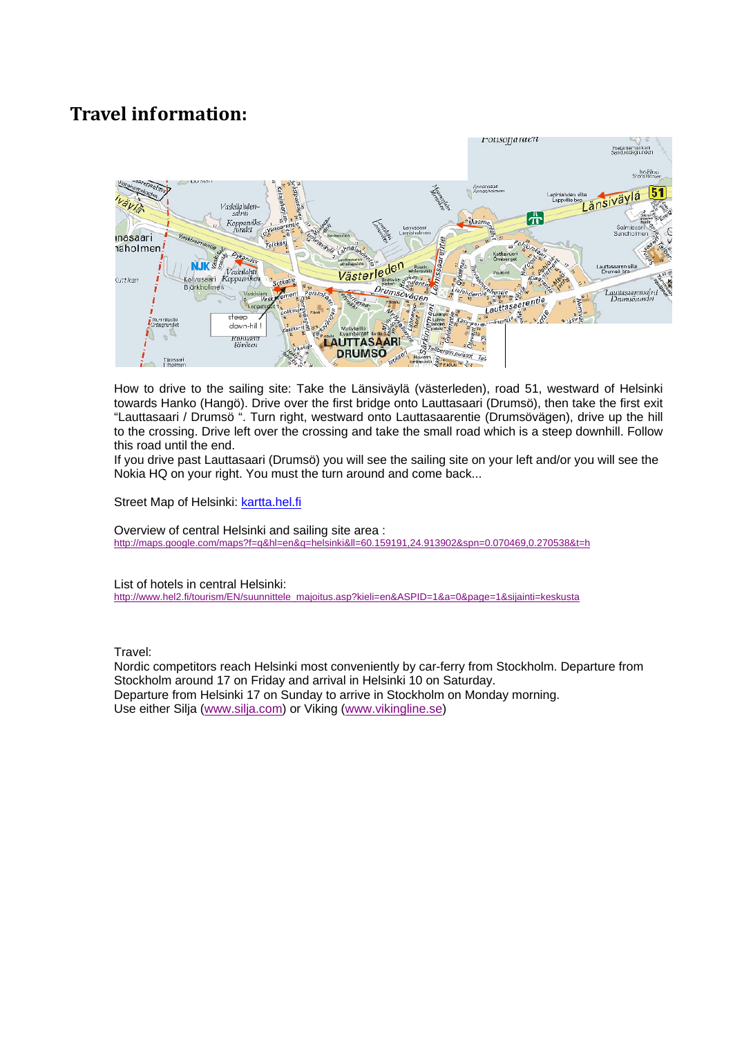## **Travel information:**



How to drive to the sailing site: Take the Länsiväylä (västerleden), road 51, westward of Helsinki towards Hanko (Hangö). Drive over the first bridge onto Lauttasaari (Drumsö), then take the first exit "Lauttasaari / Drumsö ". Turn right, westward onto Lauttasaarentie (Drumsövägen), drive up the hill to the crossing. Drive left over the crossing and take the small road which is a steep downhill. Follow this road until the end.

If you drive past Lauttasaari (Drumsö) you will see the sailing site on your left and/or you will see the Nokia HQ on your right. You must the turn around and come back...

Street Map of Helsinki: kartta.hel.fi

Overview of central Helsinki and sailing site area : http://maps.google.com/maps?f=q&hl=en&q=helsinki&ll=60.159191,24.913902&spn=0.070469,0.270538&t=h

List of hotels in central Helsinki:

http://www.hel2.fi/tourism/EN/suunnittele\_majoitus.asp?kieli=en&ASPID=1&a=0&page=1&sijainti=keskusta

Travel:

Nordic competitors reach Helsinki most conveniently by car-ferry from Stockholm. Departure from Stockholm around 17 on Friday and arrival in Helsinki 10 on Saturday. Departure from Helsinki 17 on Sunday to arrive in Stockholm on Monday morning. Use either Silja (www.silja.com) or Viking (www.vikingline.se)